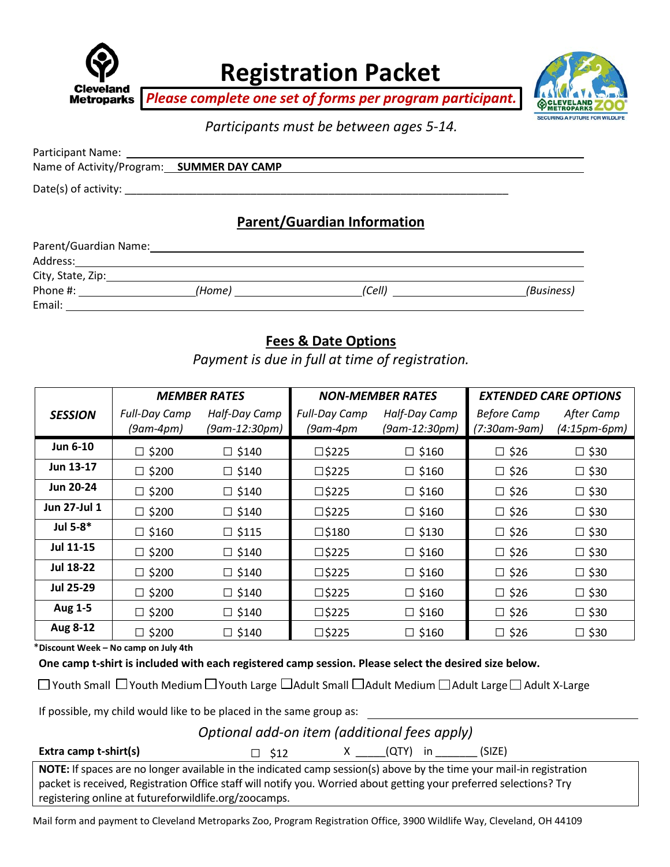

**Registration Packet**

*Please complete one set of forms per program participant.*



*Participants must be between ages 5-14.*

| Name of Activity/Program: SUMMER DAY CAMP |
|-------------------------------------------|
|                                           |
| <b>Parent/Guardian Information</b>        |

#### Parent/Guardian Name: Address: City, State, Zip: Phone #: *\_\_\_\_\_\_\_\_\_\_\_\_\_\_\_\_\_\_\_\_\_(Home)* \_\_\_\_\_\_\_\_\_\_\_\_\_\_\_\_\_\_\_\_\_(Cell) \_\_\_\_\_\_\_\_\_\_\_\_\_\_\_\_\_\_\_\_\_(Business) Email:

## **Fees & Date Options**

*Payment is due in full at time of registration.*

| <b>MEMBER RATES</b> |                      | <b>NON-MEMBER RATES</b> |                      | <b>EXTENDED CARE OPTIONS</b> |                    |                |
|---------------------|----------------------|-------------------------|----------------------|------------------------------|--------------------|----------------|
| <b>SESSION</b>      | <b>Full-Day Camp</b> | Half-Day Camp           | <b>Full-Day Camp</b> | Half-Day Camp                | <b>Before Camp</b> | After Camp     |
|                     | $(9am-4pm)$          | (9am-12:30pm)           | $(9$ am-4 $pm$       | (9am-12:30pm)                | (7:30am-9am)       | $(4:15pm-6pm)$ |
| Jun 6-10            | $\square$ \$200      | $\Box$ \$140            | $\square$ \$225      | $\square$ \$160              | $\square$ \$26     | $\square$ \$30 |
| Jun 13-17           | $\square$ \$200      | $\square$ \$140         | $\square$ \$225      | $\square$ \$160              | $\square$ \$26     | $\square$ \$30 |
| <b>Jun 20-24</b>    | $\square$ \$200      | $\square$ \$140         | $\square$ \$225      | $\square$ \$160              | $\square$ \$26     | $\square$ \$30 |
| Jun 27-Jul 1        | $\square$ \$200      | $\square$ \$140         | $\square$ \$225      | $\square$ \$160              | $\square$ \$26     | $\square$ \$30 |
| Jul 5-8*            | $\square$ \$160      | $\square$ \$115         | $\square$ \$180      | $\square$ \$130              | $\square$ \$26     | $\square$ \$30 |
| Jul 11-15           | $\square$ \$200      | $\square$ \$140         | $\square$ \$225      | $\square$ \$160              | $\square$ \$26     | $\square$ \$30 |
| <b>Jul 18-22</b>    | $\square$ \$200      | $\square$ \$140         | $\square$ \$225      | $\square$ \$160              | $\square$ \$26     | $\square$ \$30 |
| Jul 25-29           | $\square$ \$200      | $\square$ \$140         | $\square$ \$225      | $\square$ \$160              | $\square$ \$26     | $\square$ \$30 |
| Aug 1-5             | $\square$ \$200      | $\square$ \$140         | $\square$ \$225      | $\square$ \$160              | $\square$ \$26     | $\square$ \$30 |
| Aug 8-12            | $\square$ \$200      | $\square$ \$140         | $\square$ \$225      | $\square$ \$160              | $\square$ \$26     | $\square$ \$30 |

\***Discount Week – No camp on July 4th**

**One camp t-shirt is included with each registered camp session. Please select the desired size below.**

 $\Box$  Youth Small  $\Box$  Youth Medium  $\Box$  Youth Large  $\Box$  Adult Small  $\Box$  Adult Medium  $\Box$  Adult Large  $\Box$  Adult X-Large

If possible, my child would like to be placed in the same group as:

*Optional add-on item (additional fees apply)*

**Extra camp t-shirt(s)** □ \$12 X \_\_\_\_(QTY) in \_\_\_\_\_\_(SIZE)

**NOTE:** If spaces are no longer available in the indicated camp session(s) above by the time your mail-in registration packet is received, Registration Office staff will notify you. Worried about getting your preferred selections? Try registering online at futureforwildlife.org/zoocamps.

Mail form and payment to Cleveland Metroparks Zoo, Program Registration Office, 3900 Wildlife Way, Cleveland, OH 44109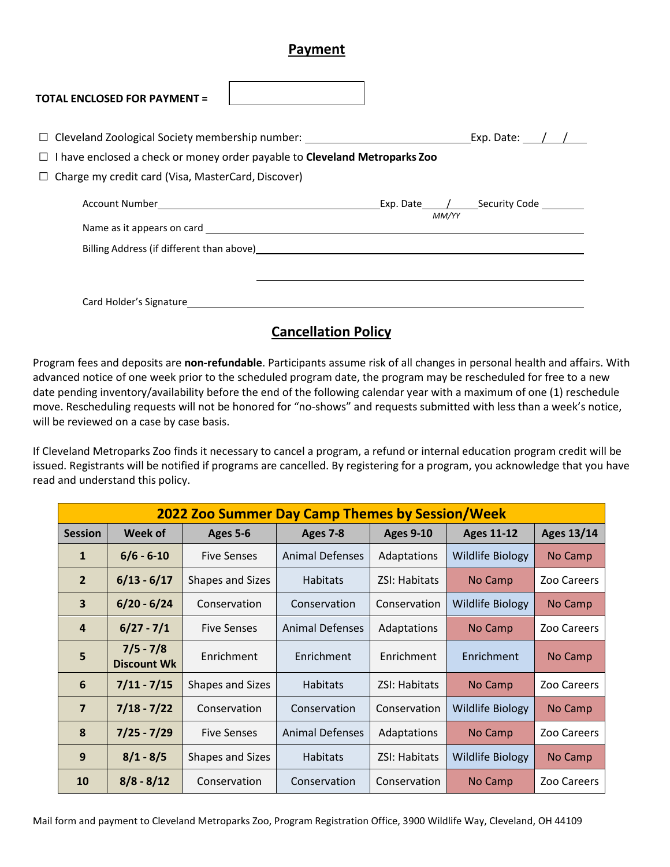#### **Payment**

| <b>TOTAL ENCLOSED FOR PAYMENT =</b>                                                                                                                                                                                                    |       |                                                 |
|----------------------------------------------------------------------------------------------------------------------------------------------------------------------------------------------------------------------------------------|-------|-------------------------------------------------|
| I have enclosed a check or money order payable to Cleveland Metroparks Zoo<br>Charge my credit card (Visa, MasterCard, Discover)                                                                                                       |       |                                                 |
| Billing Address (if different than above)<br><u> and the contract of the contract of the contract of the contract of the contract of the contract of the contract of the contract of the contract of the contract of the contract </u> | MM/YY | Exp. Date______/_______Security Code __________ |
| Card Holder's Signature <b>Example 2018</b>                                                                                                                                                                                            |       |                                                 |

### **Cancellation Policy**

Program fees and deposits are **non-refundable**. Participants assume risk of all changes in personal health and affairs. With advanced notice of one week prior to the scheduled program date, the program may be rescheduled for free to a new date pending inventory/availability before the end of the following calendar year with a maximum of one (1) reschedule move. Rescheduling requests will not be honored for "no-shows" and requests submitted with less than a week's notice, will be reviewed on a case by case basis.

If Cleveland Metroparks Zoo finds it necessary to cancel a program, a refund or internal education program credit will be issued. Registrants will be notified if programs are cancelled. By registering for a program, you acknowledge that you have read and understand this policy.

| <b>2022 Zoo Summer Day Camp Themes by Session/Week</b> |                                   |                         |                        |                      |                         |                   |
|--------------------------------------------------------|-----------------------------------|-------------------------|------------------------|----------------------|-------------------------|-------------------|
| <b>Session</b>                                         | Week of                           | Ages 5-6                | Ages 7-8               | <b>Ages 9-10</b>     | <b>Ages 11-12</b>       | <b>Ages 13/14</b> |
| $\mathbf{1}$                                           | $6/6 - 6 - 10$                    | <b>Five Senses</b>      | Animal Defenses        | Adaptations          | <b>Wildlife Biology</b> | No Camp           |
| $\overline{2}$                                         | $6/13 - 6/17$                     | Shapes and Sizes        | <b>Habitats</b>        | <b>ZSI: Habitats</b> | No Camp                 | Zoo Careers       |
| 3                                                      | $6/20 - 6/24$                     | Conservation            | Conservation           | Conservation         | <b>Wildlife Biology</b> | No Camp           |
| $\overline{4}$                                         | $6/27 - 7/1$                      | <b>Five Senses</b>      | <b>Animal Defenses</b> | Adaptations          | No Camp                 | Zoo Careers       |
| 5                                                      | $7/5 - 7/8$<br><b>Discount Wk</b> | Enrichment              | Enrichment             | Enrichment           | Enrichment              | No Camp           |
| 6                                                      | $7/11 - 7/15$                     | <b>Shapes and Sizes</b> | <b>Habitats</b>        | <b>ZSI: Habitats</b> | No Camp                 | Zoo Careers       |
| $\overline{7}$                                         | $7/18 - 7/22$                     | Conservation            | Conservation           | Conservation         | <b>Wildlife Biology</b> | No Camp           |
| 8                                                      | $7/25 - 7/29$                     | <b>Five Senses</b>      | <b>Animal Defenses</b> | Adaptations          | No Camp                 | Zoo Careers       |
| 9                                                      | $8/1 - 8/5$                       | Shapes and Sizes        | <b>Habitats</b>        | ZSI: Habitats        | <b>Wildlife Biology</b> | No Camp           |
| 10                                                     | $8/8 - 8/12$                      | Conservation            | Conservation           | Conservation         | No Camp                 | Zoo Careers       |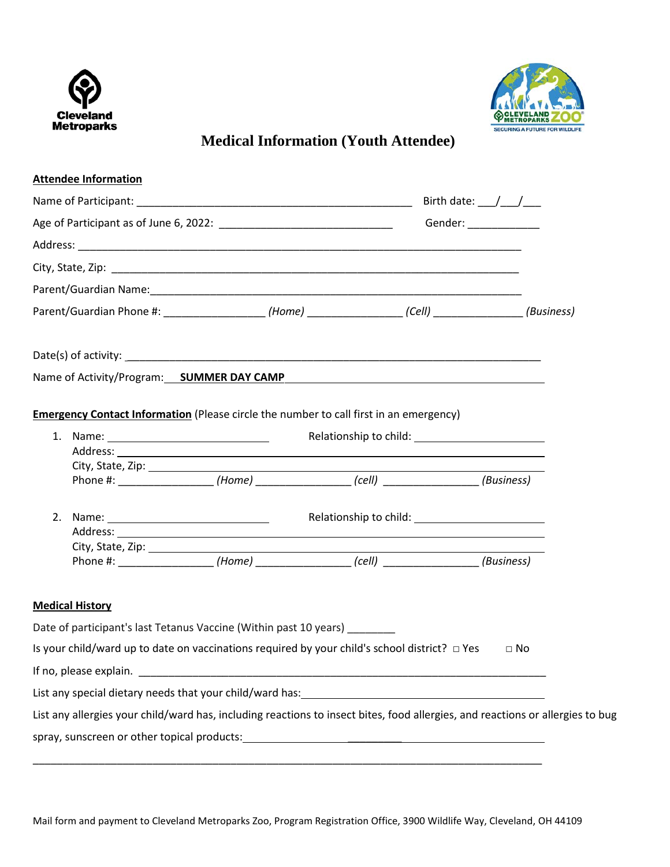



# **Medical Information (Youth Attendee)**

|  | <b>Attendee Information</b>                 |                                                                                                                                |                                              |  |           |  |
|--|---------------------------------------------|--------------------------------------------------------------------------------------------------------------------------------|----------------------------------------------|--|-----------|--|
|  |                                             |                                                                                                                                | Birth date: $\frac{1}{\sqrt{1-\frac{1}{2}}}$ |  |           |  |
|  | Gender: ______________                      |                                                                                                                                |                                              |  |           |  |
|  |                                             |                                                                                                                                |                                              |  |           |  |
|  |                                             |                                                                                                                                |                                              |  |           |  |
|  |                                             |                                                                                                                                |                                              |  |           |  |
|  |                                             | Parent/Guardian Phone #: __________________(Home) ________________(Cell) ______________(Business)                              |                                              |  |           |  |
|  |                                             |                                                                                                                                |                                              |  |           |  |
|  |                                             | Name of Activity/Program: SUMMER DAY CAMP                                                                                      |                                              |  |           |  |
|  |                                             | <b>Emergency Contact Information</b> (Please circle the number to call first in an emergency)                                  |                                              |  |           |  |
|  |                                             |                                                                                                                                |                                              |  |           |  |
|  |                                             |                                                                                                                                |                                              |  |           |  |
|  |                                             | Phone #: __________________(Home) ________________(cell) _______________(Business)                                             |                                              |  |           |  |
|  |                                             |                                                                                                                                |                                              |  |           |  |
|  |                                             |                                                                                                                                |                                              |  |           |  |
|  |                                             | Phone #: _________________(Home) _______________(cell) _______________(Business)                                               |                                              |  |           |  |
|  | <b>Medical History</b>                      |                                                                                                                                |                                              |  |           |  |
|  |                                             | Date of participant's last Tetanus Vaccine (Within past 10 years) ______                                                       |                                              |  |           |  |
|  |                                             | Is your child/ward up to date on vaccinations required by your child's school district? $\Box$ Yes                             |                                              |  | $\Box$ No |  |
|  |                                             |                                                                                                                                |                                              |  |           |  |
|  |                                             |                                                                                                                                |                                              |  |           |  |
|  |                                             | List any allergies your child/ward has, including reactions to insect bites, food allergies, and reactions or allergies to bug |                                              |  |           |  |
|  | spray, sunscreen or other topical products: |                                                                                                                                |                                              |  |           |  |

\_\_\_\_\_\_\_\_\_\_\_\_\_\_\_\_\_\_\_\_\_\_\_\_\_\_\_\_\_\_\_\_\_\_\_\_\_\_\_\_\_\_\_\_\_\_\_\_\_\_\_\_\_\_\_\_\_\_\_\_\_\_\_\_\_\_\_\_\_\_\_\_\_\_\_\_\_\_\_\_\_\_\_\_\_